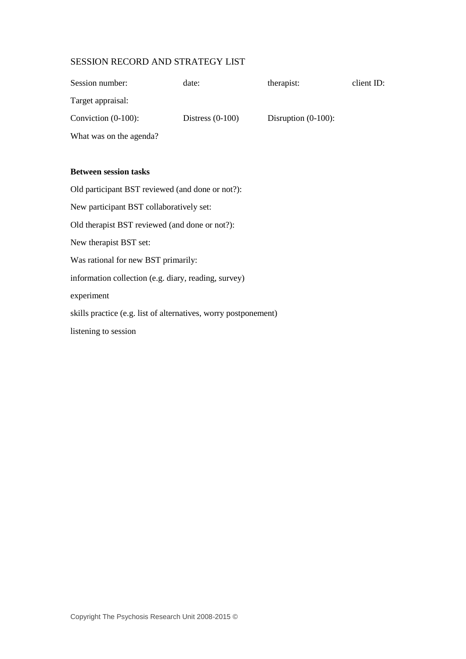## SESSION RECORD AND STRATEGY LIST

| Session number:                                                 | date:              | therapist:             | client ID: |
|-----------------------------------------------------------------|--------------------|------------------------|------------|
| Target appraisal:                                               |                    |                        |            |
| Conviction (0-100):                                             | Distress $(0-100)$ | Disruption $(0-100)$ : |            |
| What was on the agenda?                                         |                    |                        |            |
|                                                                 |                    |                        |            |
| <b>Between session tasks</b>                                    |                    |                        |            |
| Old participant BST reviewed (and done or not?):                |                    |                        |            |
| New participant BST collaboratively set:                        |                    |                        |            |
| Old therapist BST reviewed (and done or not?):                  |                    |                        |            |
| New therapist BST set:                                          |                    |                        |            |
| Was rational for new BST primarily:                             |                    |                        |            |
| information collection (e.g. diary, reading, survey)            |                    |                        |            |
| experiment                                                      |                    |                        |            |
| skills practice (e.g. list of alternatives, worry postponement) |                    |                        |            |
| listening to session                                            |                    |                        |            |